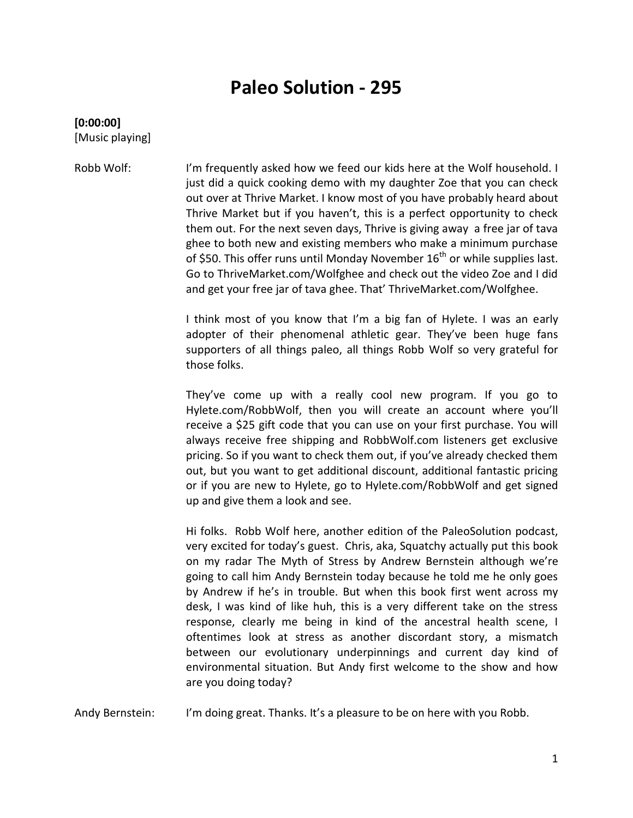# **Paleo Solution - 295**

#### **[0:00:00]** [Music playing]

Robb Wolf: I'm frequently asked how we feed our kids here at the Wolf household. I just did a quick cooking demo with my daughter Zoe that you can check out over at Thrive Market. I know most of you have probably heard about Thrive Market but if you haven't, this is a perfect opportunity to check them out. For the next seven days, Thrive is giving away a free jar of tava ghee to both new and existing members who make a minimum purchase of \$50. This offer runs until Monday November  $16<sup>th</sup>$  or while supplies last. Go to ThriveMarket.com/Wolfghee and check out the video Zoe and I did and get your free jar of tava ghee. That' ThriveMarket.com/Wolfghee.

> I think most of you know that I'm a big fan of Hylete. I was an early adopter of their phenomenal athletic gear. They've been huge fans supporters of all things paleo, all things Robb Wolf so very grateful for those folks.

> They've come up with a really cool new program. If you go to Hylete.com/RobbWolf, then you will create an account where you'll receive a \$25 gift code that you can use on your first purchase. You will always receive free shipping and RobbWolf.com listeners get exclusive pricing. So if you want to check them out, if you've already checked them out, but you want to get additional discount, additional fantastic pricing or if you are new to Hylete, go to Hylete.com/RobbWolf and get signed up and give them a look and see.

> Hi folks. Robb Wolf here, another edition of the PaleoSolution podcast, very excited for today's guest. Chris, aka, Squatchy actually put this book on my radar The Myth of Stress by Andrew Bernstein although we're going to call him Andy Bernstein today because he told me he only goes by Andrew if he's in trouble. But when this book first went across my desk, I was kind of like huh, this is a very different take on the stress response, clearly me being in kind of the ancestral health scene, I oftentimes look at stress as another discordant story, a mismatch between our evolutionary underpinnings and current day kind of environmental situation. But Andy first welcome to the show and how are you doing today?

Andy Bernstein: I'm doing great. Thanks. It's a pleasure to be on here with you Robb.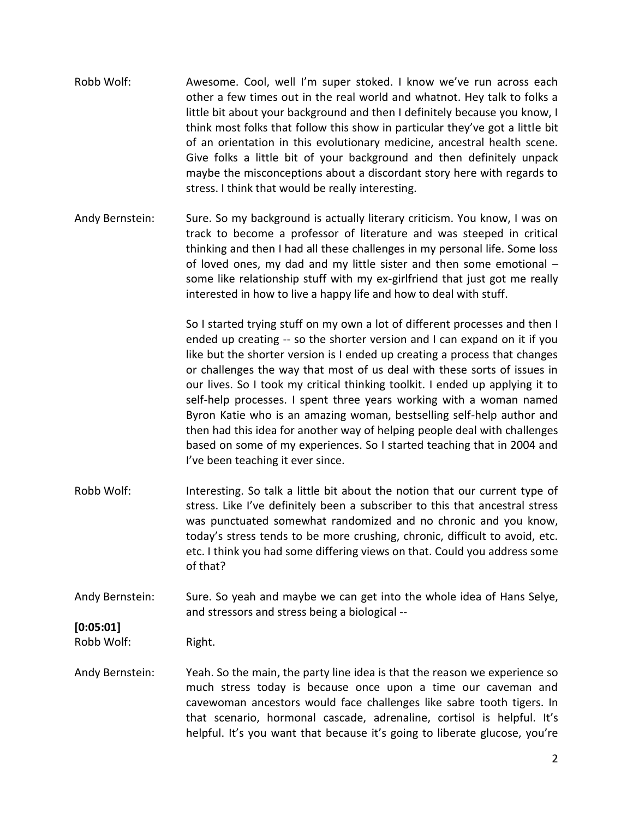- Robb Wolf: Awesome. Cool, well I'm super stoked. I know we've run across each other a few times out in the real world and whatnot. Hey talk to folks a little bit about your background and then I definitely because you know, I think most folks that follow this show in particular they've got a little bit of an orientation in this evolutionary medicine, ancestral health scene. Give folks a little bit of your background and then definitely unpack maybe the misconceptions about a discordant story here with regards to stress. I think that would be really interesting.
- Andy Bernstein: Sure. So my background is actually literary criticism. You know, I was on track to become a professor of literature and was steeped in critical thinking and then I had all these challenges in my personal life. Some loss of loved ones, my dad and my little sister and then some emotional – some like relationship stuff with my ex-girlfriend that just got me really interested in how to live a happy life and how to deal with stuff.

So I started trying stuff on my own a lot of different processes and then I ended up creating -- so the shorter version and I can expand on it if you like but the shorter version is I ended up creating a process that changes or challenges the way that most of us deal with these sorts of issues in our lives. So I took my critical thinking toolkit. I ended up applying it to self-help processes. I spent three years working with a woman named Byron Katie who is an amazing woman, bestselling self-help author and then had this idea for another way of helping people deal with challenges based on some of my experiences. So I started teaching that in 2004 and I've been teaching it ever since.

- Robb Wolf: Interesting. So talk a little bit about the notion that our current type of stress. Like I've definitely been a subscriber to this that ancestral stress was punctuated somewhat randomized and no chronic and you know, today's stress tends to be more crushing, chronic, difficult to avoid, etc. etc. I think you had some differing views on that. Could you address some of that?
- Andy Bernstein: Sure. So yeah and maybe we can get into the whole idea of Hans Selye, and stressors and stress being a biological --

### **[0:05:01]**

Robb Wolf: Right.

Andy Bernstein: Yeah. So the main, the party line idea is that the reason we experience so much stress today is because once upon a time our caveman and cavewoman ancestors would face challenges like sabre tooth tigers. In that scenario, hormonal cascade, adrenaline, cortisol is helpful. It's helpful. It's you want that because it's going to liberate glucose, you're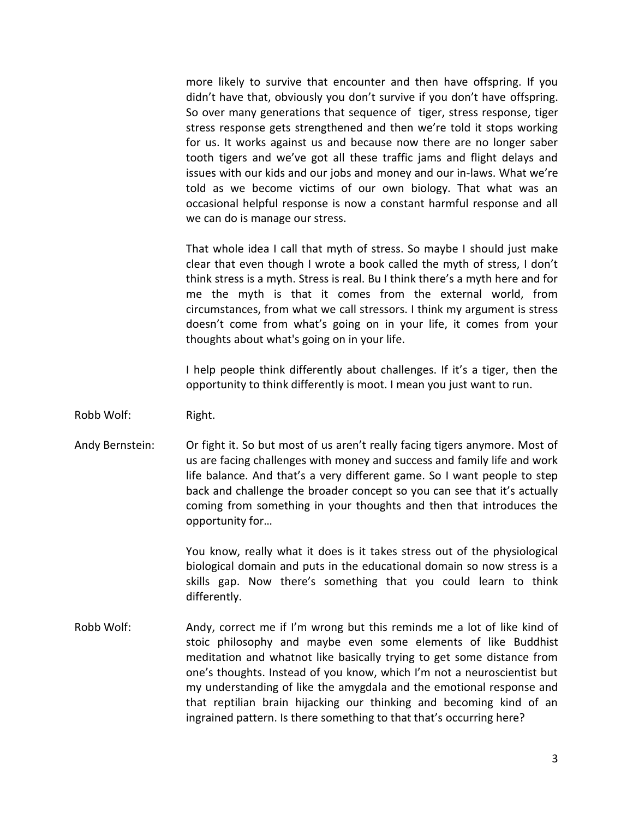more likely to survive that encounter and then have offspring. If you didn't have that, obviously you don't survive if you don't have offspring. So over many generations that sequence of tiger, stress response, tiger stress response gets strengthened and then we're told it stops working for us. It works against us and because now there are no longer saber tooth tigers and we've got all these traffic jams and flight delays and issues with our kids and our jobs and money and our in-laws. What we're told as we become victims of our own biology. That what was an occasional helpful response is now a constant harmful response and all we can do is manage our stress.

That whole idea I call that myth of stress. So maybe I should just make clear that even though I wrote a book called the myth of stress, I don't think stress is a myth. Stress is real. Bu I think there's a myth here and for me the myth is that it comes from the external world, from circumstances, from what we call stressors. I think my argument is stress doesn't come from what's going on in your life, it comes from your thoughts about what's going on in your life.

I help people think differently about challenges. If it's a tiger, then the opportunity to think differently is moot. I mean you just want to run.

- Robb Wolf: Right.
- Andy Bernstein: Or fight it. So but most of us aren't really facing tigers anymore. Most of us are facing challenges with money and success and family life and work life balance. And that's a very different game. So I want people to step back and challenge the broader concept so you can see that it's actually coming from something in your thoughts and then that introduces the opportunity for…

You know, really what it does is it takes stress out of the physiological biological domain and puts in the educational domain so now stress is a skills gap. Now there's something that you could learn to think differently.

Robb Wolf: Andy, correct me if I'm wrong but this reminds me a lot of like kind of stoic philosophy and maybe even some elements of like Buddhist meditation and whatnot like basically trying to get some distance from one's thoughts. Instead of you know, which I'm not a neuroscientist but my understanding of like the amygdala and the emotional response and that reptilian brain hijacking our thinking and becoming kind of an ingrained pattern. Is there something to that that's occurring here?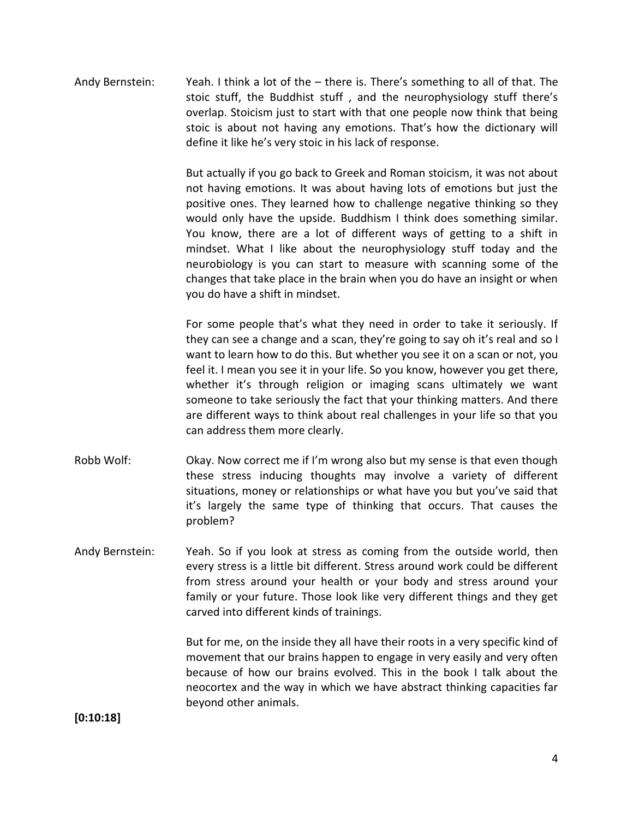Andy Bernstein: Yeah. I think a lot of the – there is. There's something to all of that. The stoic stuff, the Buddhist stuff , and the neurophysiology stuff there's overlap. Stoicism just to start with that one people now think that being stoic is about not having any emotions. That's how the dictionary will define it like he's very stoic in his lack of response.

> But actually if you go back to Greek and Roman stoicism, it was not about not having emotions. It was about having lots of emotions but just the positive ones. They learned how to challenge negative thinking so they would only have the upside. Buddhism I think does something similar. You know, there are a lot of different ways of getting to a shift in mindset. What I like about the neurophysiology stuff today and the neurobiology is you can start to measure with scanning some of the changes that take place in the brain when you do have an insight or when you do have a shift in mindset.

> For some people that's what they need in order to take it seriously. If they can see a change and a scan, they're going to say oh it's real and so I want to learn how to do this. But whether you see it on a scan or not, you feel it. I mean you see it in your life. So you know, however you get there, whether it's through religion or imaging scans ultimately we want someone to take seriously the fact that your thinking matters. And there are different ways to think about real challenges in your life so that you can address them more clearly.

- Robb Wolf: Okay. Now correct me if I'm wrong also but my sense is that even though these stress inducing thoughts may involve a variety of different situations, money or relationships or what have you but you've said that it's largely the same type of thinking that occurs. That causes the problem?
- Andy Bernstein: Yeah. So if you look at stress as coming from the outside world, then every stress is a little bit different. Stress around work could be different from stress around your health or your body and stress around your family or your future. Those look like very different things and they get carved into different kinds of trainings.

But for me, on the inside they all have their roots in a very specific kind of movement that our brains happen to engage in very easily and very often because of how our brains evolved. This in the book I talk about the neocortex and the way in which we have abstract thinking capacities far beyond other animals.

**[0:10:18]**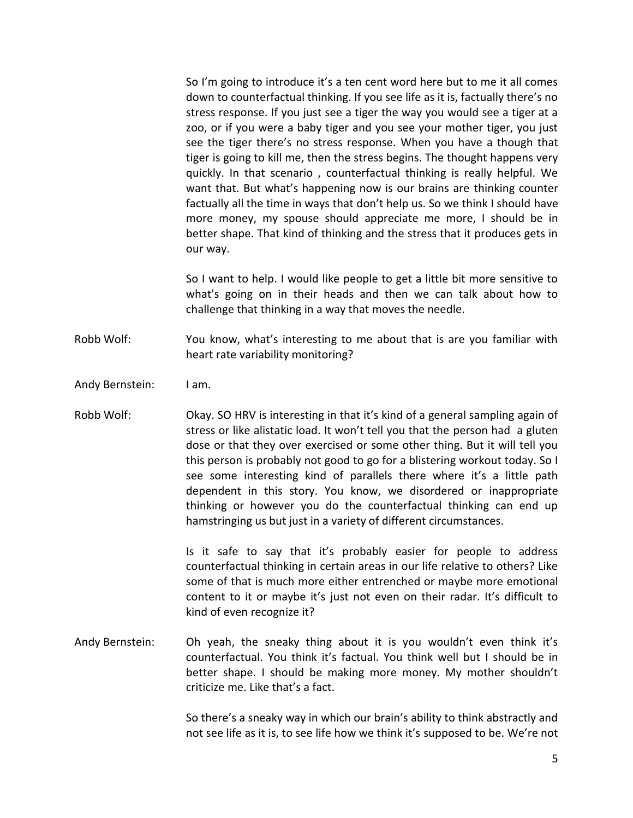So I'm going to introduce it's a ten cent word here but to me it all comes down to counterfactual thinking. If you see life as it is, factually there's no stress response. If you just see a tiger the way you would see a tiger at a zoo, or if you were a baby tiger and you see your mother tiger, you just see the tiger there's no stress response. When you have a though that tiger is going to kill me, then the stress begins. The thought happens very quickly. In that scenario , counterfactual thinking is really helpful. We want that. But what's happening now is our brains are thinking counter factually all the time in ways that don't help us. So we think I should have more money, my spouse should appreciate me more, I should be in better shape. That kind of thinking and the stress that it produces gets in our way.

So I want to help. I would like people to get a little bit more sensitive to what's going on in their heads and then we can talk about how to challenge that thinking in a way that moves the needle.

Robb Wolf: You know, what's interesting to me about that is are you familiar with heart rate variability monitoring?

- Andy Bernstein: I am.
- Robb Wolf: Okay. SO HRV is interesting in that it's kind of a general sampling again of stress or like alistatic load. It won't tell you that the person had a gluten dose or that they over exercised or some other thing. But it will tell you this person is probably not good to go for a blistering workout today. So I see some interesting kind of parallels there where it's a little path dependent in this story. You know, we disordered or inappropriate thinking or however you do the counterfactual thinking can end up hamstringing us but just in a variety of different circumstances.

Is it safe to say that it's probably easier for people to address counterfactual thinking in certain areas in our life relative to others? Like some of that is much more either entrenched or maybe more emotional content to it or maybe it's just not even on their radar. It's difficult to kind of even recognize it?

Andy Bernstein: Oh yeah, the sneaky thing about it is you wouldn't even think it's counterfactual. You think it's factual. You think well but I should be in better shape. I should be making more money. My mother shouldn't criticize me. Like that's a fact.

> So there's a sneaky way in which our brain's ability to think abstractly and not see life as it is, to see life how we think it's supposed to be. We're not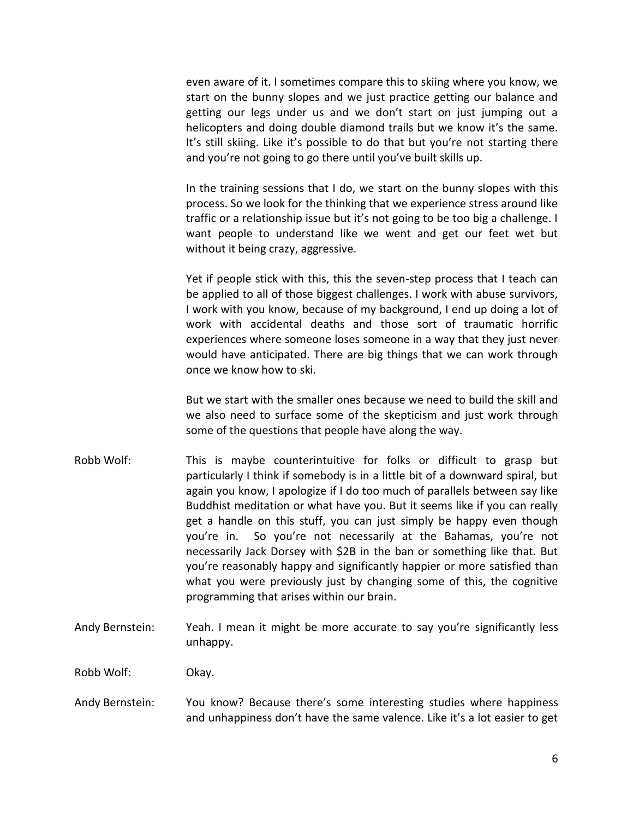even aware of it. I sometimes compare this to skiing where you know, we start on the bunny slopes and we just practice getting our balance and getting our legs under us and we don't start on just jumping out a helicopters and doing double diamond trails but we know it's the same. It's still skiing. Like it's possible to do that but you're not starting there and you're not going to go there until you've built skills up.

In the training sessions that I do, we start on the bunny slopes with this process. So we look for the thinking that we experience stress around like traffic or a relationship issue but it's not going to be too big a challenge. I want people to understand like we went and get our feet wet but without it being crazy, aggressive.

Yet if people stick with this, this the seven-step process that I teach can be applied to all of those biggest challenges. I work with abuse survivors, I work with you know, because of my background, I end up doing a lot of work with accidental deaths and those sort of traumatic horrific experiences where someone loses someone in a way that they just never would have anticipated. There are big things that we can work through once we know how to ski.

But we start with the smaller ones because we need to build the skill and we also need to surface some of the skepticism and just work through some of the questions that people have along the way.

- Robb Wolf: This is maybe counterintuitive for folks or difficult to grasp but particularly I think if somebody is in a little bit of a downward spiral, but again you know, I apologize if I do too much of parallels between say like Buddhist meditation or what have you. But it seems like if you can really get a handle on this stuff, you can just simply be happy even though you're in. So you're not necessarily at the Bahamas, you're not necessarily Jack Dorsey with \$2B in the ban or something like that. But you're reasonably happy and significantly happier or more satisfied than what you were previously just by changing some of this, the cognitive programming that arises within our brain.
- Andy Bernstein: Yeah. I mean it might be more accurate to say you're significantly less unhappy.

Robb Wolf: Okay.

Andy Bernstein: You know? Because there's some interesting studies where happiness and unhappiness don't have the same valence. Like it's a lot easier to get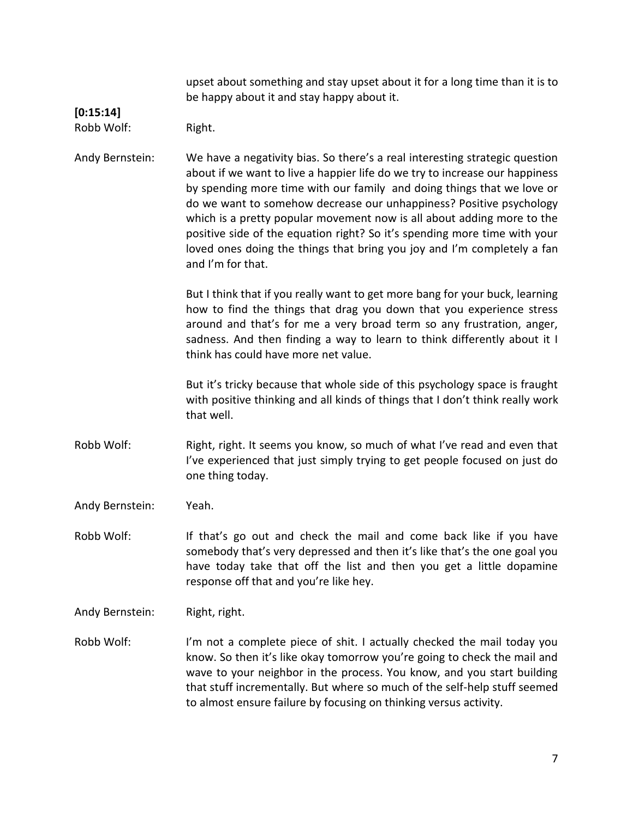upset about something and stay upset about it for a long time than it is to be happy about it and stay happy about it.

## **[0:15:14]**

Robb Wolf: Right.

Andy Bernstein: We have a negativity bias. So there's a real interesting strategic question about if we want to live a happier life do we try to increase our happiness by spending more time with our family and doing things that we love or do we want to somehow decrease our unhappiness? Positive psychology which is a pretty popular movement now is all about adding more to the positive side of the equation right? So it's spending more time with your loved ones doing the things that bring you joy and I'm completely a fan and I'm for that.

> But I think that if you really want to get more bang for your buck, learning how to find the things that drag you down that you experience stress around and that's for me a very broad term so any frustration, anger, sadness. And then finding a way to learn to think differently about it I think has could have more net value.

> But it's tricky because that whole side of this psychology space is fraught with positive thinking and all kinds of things that I don't think really work that well.

- Robb Wolf: Right, right. It seems you know, so much of what I've read and even that I've experienced that just simply trying to get people focused on just do one thing today.
- Andy Bernstein: Yeah.
- Robb Wolf: If that's go out and check the mail and come back like if you have somebody that's very depressed and then it's like that's the one goal you have today take that off the list and then you get a little dopamine response off that and you're like hey.
- Andy Bernstein: Right, right.
- Robb Wolf: I'm not a complete piece of shit. I actually checked the mail today you know. So then it's like okay tomorrow you're going to check the mail and wave to your neighbor in the process. You know, and you start building that stuff incrementally. But where so much of the self-help stuff seemed to almost ensure failure by focusing on thinking versus activity.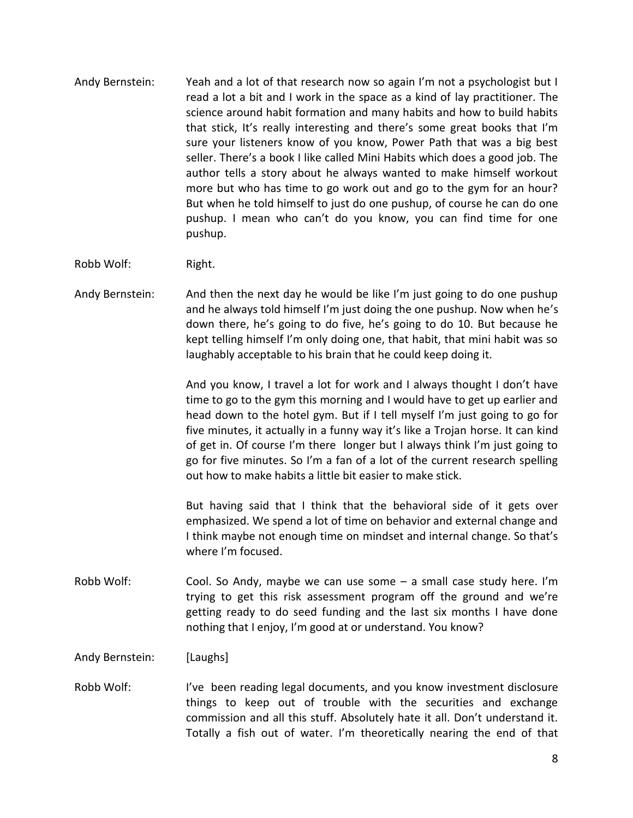- Andy Bernstein: Yeah and a lot of that research now so again I'm not a psychologist but I read a lot a bit and I work in the space as a kind of lay practitioner. The science around habit formation and many habits and how to build habits that stick, It's really interesting and there's some great books that I'm sure your listeners know of you know, Power Path that was a big best seller. There's a book I like called Mini Habits which does a good job. The author tells a story about he always wanted to make himself workout more but who has time to go work out and go to the gym for an hour? But when he told himself to just do one pushup, of course he can do one pushup. I mean who can't do you know, you can find time for one pushup.
- Robb Wolf: Right.
- Andy Bernstein: And then the next day he would be like I'm just going to do one pushup and he always told himself I'm just doing the one pushup. Now when he's down there, he's going to do five, he's going to do 10. But because he kept telling himself I'm only doing one, that habit, that mini habit was so laughably acceptable to his brain that he could keep doing it.

And you know, I travel a lot for work and I always thought I don't have time to go to the gym this morning and I would have to get up earlier and head down to the hotel gym. But if I tell myself I'm just going to go for five minutes, it actually in a funny way it's like a Trojan horse. It can kind of get in. Of course I'm there longer but I always think I'm just going to go for five minutes. So I'm a fan of a lot of the current research spelling out how to make habits a little bit easier to make stick.

But having said that I think that the behavioral side of it gets over emphasized. We spend a lot of time on behavior and external change and I think maybe not enough time on mindset and internal change. So that's where I'm focused.

Robb Wolf: Cool. So Andy, maybe we can use some – a small case study here. I'm trying to get this risk assessment program off the ground and we're getting ready to do seed funding and the last six months I have done nothing that I enjoy, I'm good at or understand. You know?

Andy Bernstein: [Laughs]

Robb Wolf: I've been reading legal documents, and you know investment disclosure things to keep out of trouble with the securities and exchange commission and all this stuff. Absolutely hate it all. Don't understand it. Totally a fish out of water. I'm theoretically nearing the end of that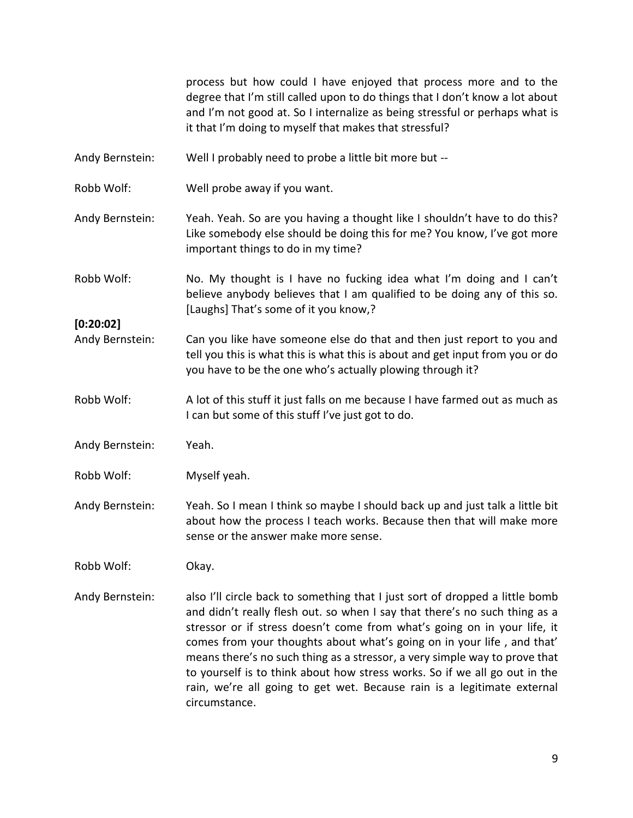process but how could I have enjoyed that process more and to the degree that I'm still called upon to do things that I don't know a lot about and I'm not good at. So I internalize as being stressful or perhaps what is it that I'm doing to myself that makes that stressful?

- Andy Bernstein: Well I probably need to probe a little bit more but --
- Robb Wolf: Well probe away if you want.
- Andy Bernstein: Yeah. Yeah. So are you having a thought like I shouldn't have to do this? Like somebody else should be doing this for me? You know, I've got more important things to do in my time?
- Robb Wolf: No. My thought is I have no fucking idea what I'm doing and I can't believe anybody believes that I am qualified to be doing any of this so. [Laughs] That's some of it you know,?

**[0:20:02]**

- Andy Bernstein: Can you like have someone else do that and then just report to you and tell you this is what this is what this is about and get input from you or do you have to be the one who's actually plowing through it?
- Robb Wolf: A lot of this stuff it just falls on me because I have farmed out as much as I can but some of this stuff I've just got to do.
- Andy Bernstein: Yeah.
- Robb Wolf: Myself yeah.
- Andy Bernstein: Yeah. So I mean I think so maybe I should back up and just talk a little bit about how the process I teach works. Because then that will make more sense or the answer make more sense.

Robb Wolf: Okay.

Andy Bernstein: also I'll circle back to something that I just sort of dropped a little bomb and didn't really flesh out. so when I say that there's no such thing as a stressor or if stress doesn't come from what's going on in your life, it comes from your thoughts about what's going on in your life , and that' means there's no such thing as a stressor, a very simple way to prove that to yourself is to think about how stress works. So if we all go out in the rain, we're all going to get wet. Because rain is a legitimate external circumstance.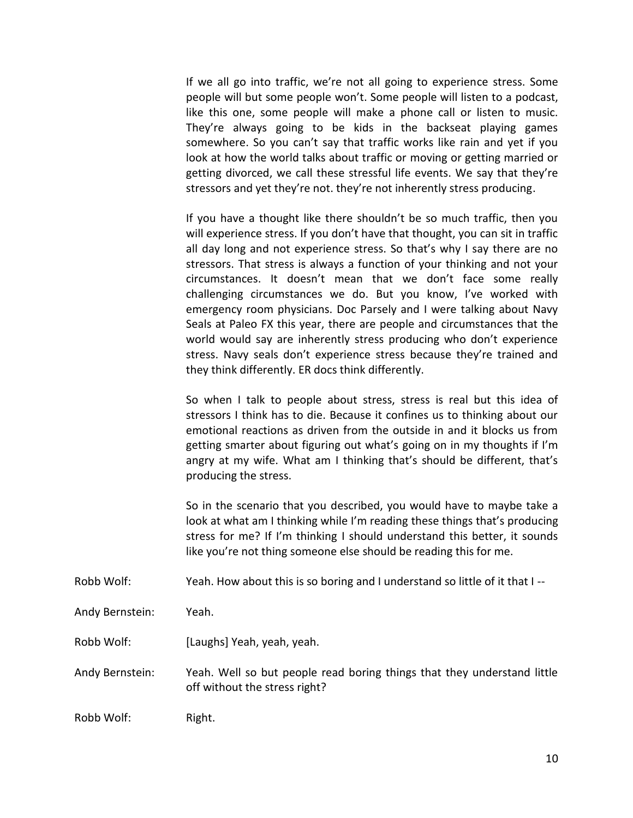If we all go into traffic, we're not all going to experience stress. Some people will but some people won't. Some people will listen to a podcast, like this one, some people will make a phone call or listen to music. They're always going to be kids in the backseat playing games somewhere. So you can't say that traffic works like rain and yet if you look at how the world talks about traffic or moving or getting married or getting divorced, we call these stressful life events. We say that they're stressors and yet they're not. they're not inherently stress producing.

If you have a thought like there shouldn't be so much traffic, then you will experience stress. If you don't have that thought, you can sit in traffic all day long and not experience stress. So that's why I say there are no stressors. That stress is always a function of your thinking and not your circumstances. It doesn't mean that we don't face some really challenging circumstances we do. But you know, I've worked with emergency room physicians. Doc Parsely and I were talking about Navy Seals at Paleo FX this year, there are people and circumstances that the world would say are inherently stress producing who don't experience stress. Navy seals don't experience stress because they're trained and they think differently. ER docs think differently.

So when I talk to people about stress, stress is real but this idea of stressors I think has to die. Because it confines us to thinking about our emotional reactions as driven from the outside in and it blocks us from getting smarter about figuring out what's going on in my thoughts if I'm angry at my wife. What am I thinking that's should be different, that's producing the stress.

So in the scenario that you described, you would have to maybe take a look at what am I thinking while I'm reading these things that's producing stress for me? If I'm thinking I should understand this better, it sounds like you're not thing someone else should be reading this for me.

- Robb Wolf: Yeah. How about this is so boring and I understand so little of it that I--
- Andy Bernstein: Yeah.
- Robb Wolf: [Laughs] Yeah, yeah, yeah.

Andy Bernstein: Yeah. Well so but people read boring things that they understand little off without the stress right?

Robb Wolf: Right.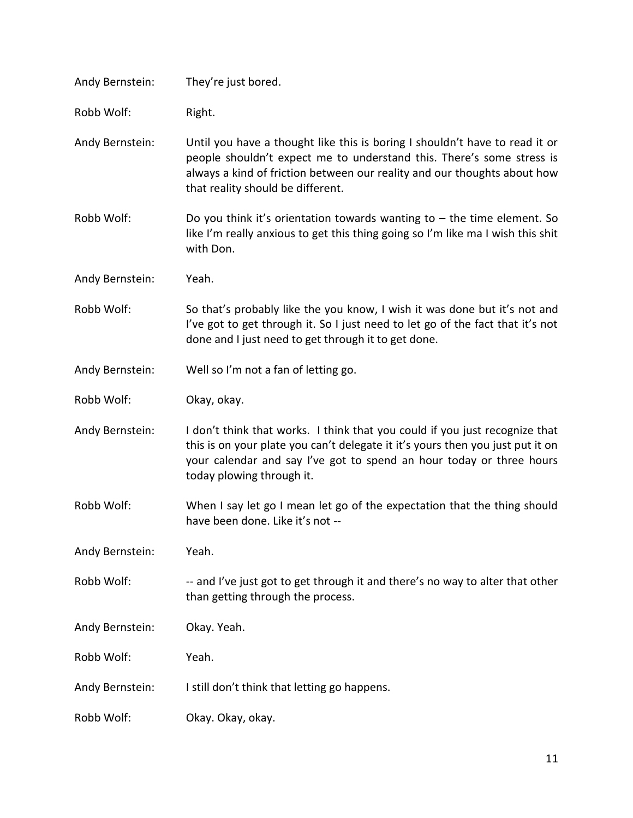| Andy Bernstein: | They're just bored.                                                                                                                                                                                                                                                   |
|-----------------|-----------------------------------------------------------------------------------------------------------------------------------------------------------------------------------------------------------------------------------------------------------------------|
| Robb Wolf:      | Right.                                                                                                                                                                                                                                                                |
| Andy Bernstein: | Until you have a thought like this is boring I shouldn't have to read it or<br>people shouldn't expect me to understand this. There's some stress is<br>always a kind of friction between our reality and our thoughts about how<br>that reality should be different. |
| Robb Wolf:      | Do you think it's orientation towards wanting to $-$ the time element. So<br>like I'm really anxious to get this thing going so I'm like ma I wish this shit<br>with Don.                                                                                             |
| Andy Bernstein: | Yeah.                                                                                                                                                                                                                                                                 |
| Robb Wolf:      | So that's probably like the you know, I wish it was done but it's not and<br>I've got to get through it. So I just need to let go of the fact that it's not<br>done and I just need to get through it to get done.                                                    |
| Andy Bernstein: | Well so I'm not a fan of letting go.                                                                                                                                                                                                                                  |
| Robb Wolf:      | Okay, okay.                                                                                                                                                                                                                                                           |
| Andy Bernstein: | I don't think that works. I think that you could if you just recognize that<br>this is on your plate you can't delegate it it's yours then you just put it on<br>your calendar and say I've got to spend an hour today or three hours<br>today plowing through it.    |
| Robb Wolf:      | When I say let go I mean let go of the expectation that the thing should<br>have been done. Like it's not --                                                                                                                                                          |
| Andy Bernstein: | Yeah.                                                                                                                                                                                                                                                                 |
| Robb Wolf:      | -- and I've just got to get through it and there's no way to alter that other<br>than getting through the process.                                                                                                                                                    |
| Andy Bernstein: | Okay. Yeah.                                                                                                                                                                                                                                                           |
| Robb Wolf:      | Yeah.                                                                                                                                                                                                                                                                 |
| Andy Bernstein: | I still don't think that letting go happens.                                                                                                                                                                                                                          |
| Robb Wolf:      | Okay. Okay, okay.                                                                                                                                                                                                                                                     |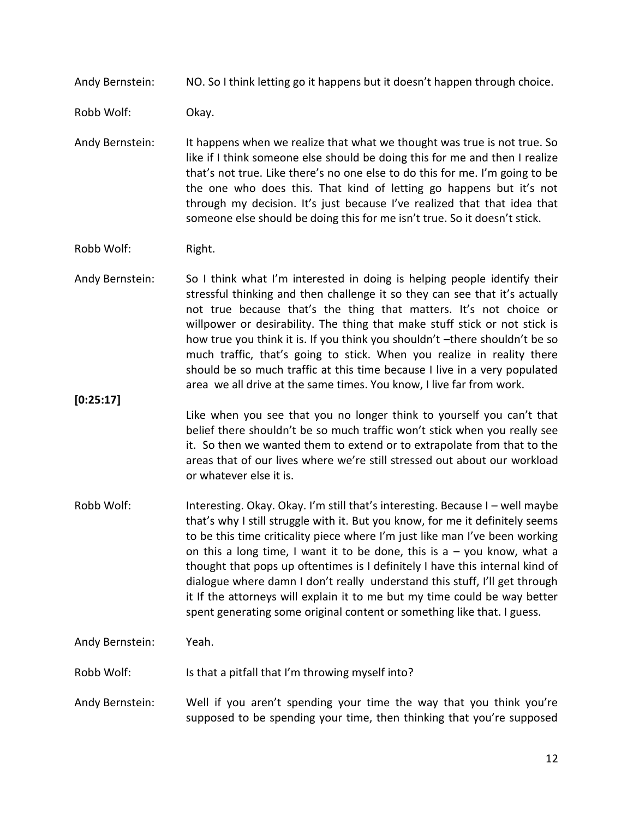Andy Bernstein: NO. So I think letting go it happens but it doesn't happen through choice.

Robb Wolf: Okay.

Andy Bernstein: It happens when we realize that what we thought was true is not true. So like if I think someone else should be doing this for me and then I realize that's not true. Like there's no one else to do this for me. I'm going to be the one who does this. That kind of letting go happens but it's not through my decision. It's just because I've realized that that idea that someone else should be doing this for me isn't true. So it doesn't stick.

Robb Wolf: Right.

Andy Bernstein: So I think what I'm interested in doing is helping people identify their stressful thinking and then challenge it so they can see that it's actually not true because that's the thing that matters. It's not choice or willpower or desirability. The thing that make stuff stick or not stick is how true you think it is. If you think you shouldn't –there shouldn't be so much traffic, that's going to stick. When you realize in reality there should be so much traffic at this time because I live in a very populated area we all drive at the same times. You know, I live far from work.

**[0:25:17]**

Like when you see that you no longer think to yourself you can't that belief there shouldn't be so much traffic won't stick when you really see it. So then we wanted them to extend or to extrapolate from that to the areas that of our lives where we're still stressed out about our workload or whatever else it is.

Robb Wolf: Interesting. Okay. Okay. I'm still that's interesting. Because I – well maybe that's why I still struggle with it. But you know, for me it definitely seems to be this time criticality piece where I'm just like man I've been working on this a long time, I want it to be done, this is  $a - y$ ou know, what a thought that pops up oftentimes is I definitely I have this internal kind of dialogue where damn I don't really understand this stuff, I'll get through it If the attorneys will explain it to me but my time could be way better spent generating some original content or something like that. I guess.

Andy Bernstein: Yeah.

Robb Wolf: Is that a pitfall that I'm throwing myself into?

Andy Bernstein: Well if you aren't spending your time the way that you think you're supposed to be spending your time, then thinking that you're supposed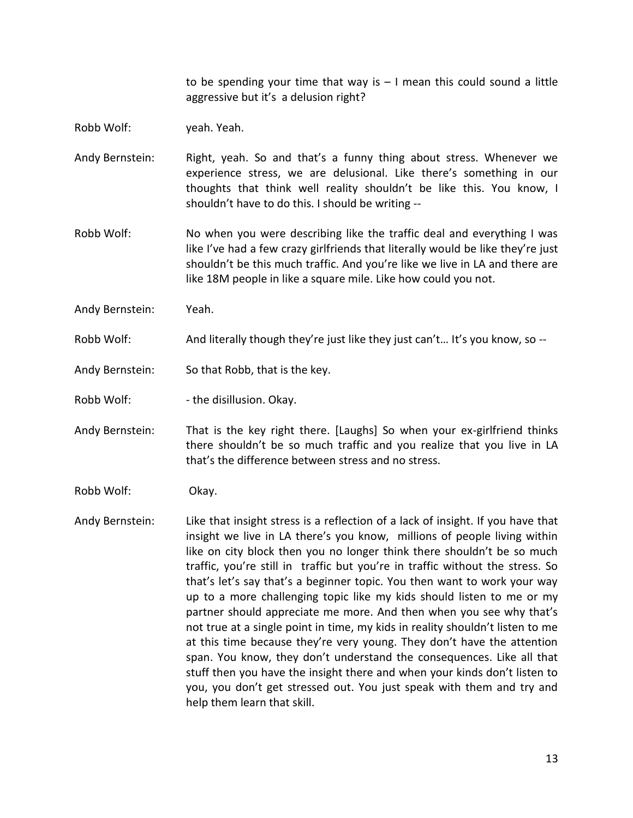to be spending your time that way is  $-1$  mean this could sound a little aggressive but it's a delusion right?

Robb Wolf: yeah. Yeah.

- Andy Bernstein: Right, yeah. So and that's a funny thing about stress. Whenever we experience stress, we are delusional. Like there's something in our thoughts that think well reality shouldn't be like this. You know, I shouldn't have to do this. I should be writing --
- Robb Wolf: No when you were describing like the traffic deal and everything I was like I've had a few crazy girlfriends that literally would be like they're just shouldn't be this much traffic. And you're like we live in LA and there are like 18M people in like a square mile. Like how could you not.
- Andy Bernstein: Yeah.
- Robb Wolf: And literally though they're just like they just can't... It's you know, so --
- Andy Bernstein: So that Robb, that is the key.

Robb Wolf:  $\qquad \qquad$  - the disillusion. Okay.

- Andy Bernstein: That is the key right there. [Laughs] So when your ex-girlfriend thinks there shouldn't be so much traffic and you realize that you live in LA that's the difference between stress and no stress.
- Robb Wolf: Okay.
- Andy Bernstein: Like that insight stress is a reflection of a lack of insight. If you have that insight we live in LA there's you know, millions of people living within like on city block then you no longer think there shouldn't be so much traffic, you're still in traffic but you're in traffic without the stress. So that's let's say that's a beginner topic. You then want to work your way up to a more challenging topic like my kids should listen to me or my partner should appreciate me more. And then when you see why that's not true at a single point in time, my kids in reality shouldn't listen to me at this time because they're very young. They don't have the attention span. You know, they don't understand the consequences. Like all that stuff then you have the insight there and when your kinds don't listen to you, you don't get stressed out. You just speak with them and try and help them learn that skill.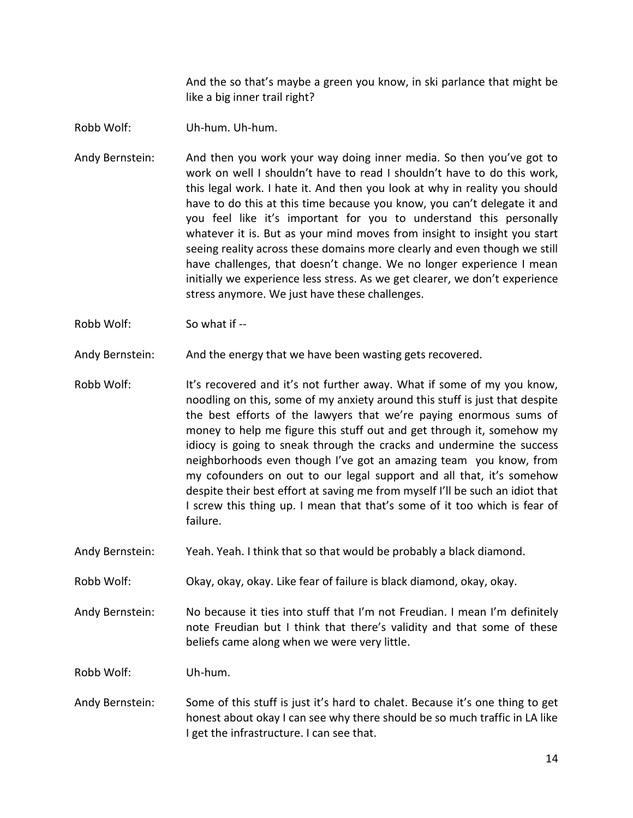And the so that's maybe a green you know, in ski parlance that might be like a big inner trail right?

- Robb Wolf: Uh-hum. Uh-hum.
- Andy Bernstein: And then you work your way doing inner media. So then you've got to work on well I shouldn't have to read I shouldn't have to do this work, this legal work. I hate it. And then you look at why in reality you should have to do this at this time because you know, you can't delegate it and you feel like it's important for you to understand this personally whatever it is. But as your mind moves from insight to insight you start seeing reality across these domains more clearly and even though we still have challenges, that doesn't change. We no longer experience I mean initially we experience less stress. As we get clearer, we don't experience stress anymore. We just have these challenges.
- Robb Wolf: So what if --

Andy Bernstein: And the energy that we have been wasting gets recovered.

- Robb Wolf: It's recovered and it's not further away. What if some of my you know, noodling on this, some of my anxiety around this stuff is just that despite the best efforts of the lawyers that we're paying enormous sums of money to help me figure this stuff out and get through it, somehow my idiocy is going to sneak through the cracks and undermine the success neighborhoods even though I've got an amazing team you know, from my cofounders on out to our legal support and all that, it's somehow despite their best effort at saving me from myself I'll be such an idiot that I screw this thing up. I mean that that's some of it too which is fear of failure.
- Andy Bernstein: Yeah. Yeah. I think that so that would be probably a black diamond.
- Robb Wolf: Okay, okay, okay. Like fear of failure is black diamond, okay, okay.
- Andy Bernstein: No because it ties into stuff that I'm not Freudian. I mean I'm definitely note Freudian but I think that there's validity and that some of these beliefs came along when we were very little.

Robb Wolf: Uh-hum.

Andy Bernstein: Some of this stuff is just it's hard to chalet. Because it's one thing to get honest about okay I can see why there should be so much traffic in LA like I get the infrastructure. I can see that.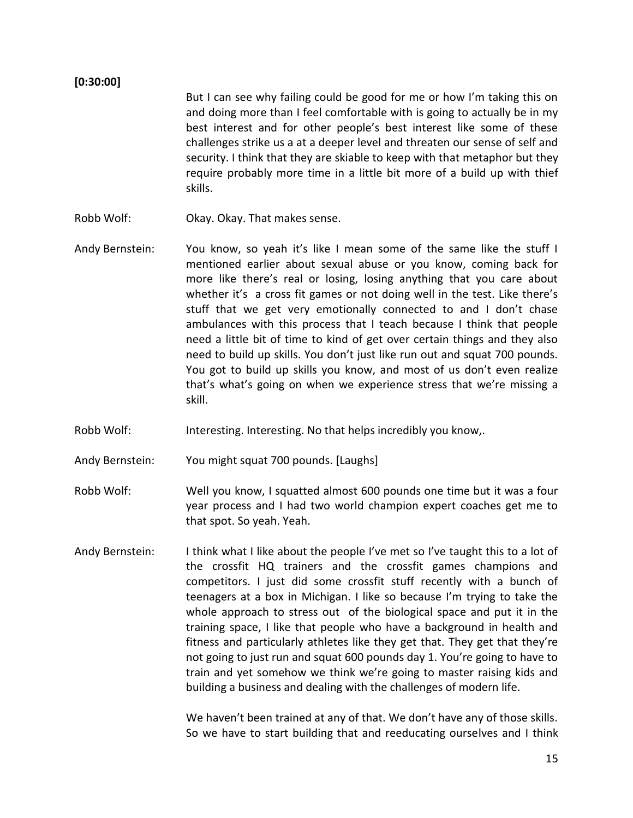#### **[0:30:00]**

But I can see why failing could be good for me or how I'm taking this on and doing more than I feel comfortable with is going to actually be in my best interest and for other people's best interest like some of these challenges strike us a at a deeper level and threaten our sense of self and security. I think that they are skiable to keep with that metaphor but they require probably more time in a little bit more of a build up with thief skills.

- Robb Wolf: Okay. Okay. That makes sense.
- Andy Bernstein: You know, so yeah it's like I mean some of the same like the stuff I mentioned earlier about sexual abuse or you know, coming back for more like there's real or losing, losing anything that you care about whether it's a cross fit games or not doing well in the test. Like there's stuff that we get very emotionally connected to and I don't chase ambulances with this process that I teach because I think that people need a little bit of time to kind of get over certain things and they also need to build up skills. You don't just like run out and squat 700 pounds. You got to build up skills you know, and most of us don't even realize that's what's going on when we experience stress that we're missing a skill.
- Robb Wolf: Interesting. Interesting. No that helps incredibly you know,.

Andy Bernstein: You might squat 700 pounds. [Laughs]

- Robb Wolf: Well you know, I squatted almost 600 pounds one time but it was a four year process and I had two world champion expert coaches get me to that spot. So yeah. Yeah.
- Andy Bernstein: I think what I like about the people I've met so I've taught this to a lot of the crossfit HQ trainers and the crossfit games champions and competitors. I just did some crossfit stuff recently with a bunch of teenagers at a box in Michigan. I like so because I'm trying to take the whole approach to stress out of the biological space and put it in the training space, I like that people who have a background in health and fitness and particularly athletes like they get that. They get that they're not going to just run and squat 600 pounds day 1. You're going to have to train and yet somehow we think we're going to master raising kids and building a business and dealing with the challenges of modern life.

We haven't been trained at any of that. We don't have any of those skills. So we have to start building that and reeducating ourselves and I think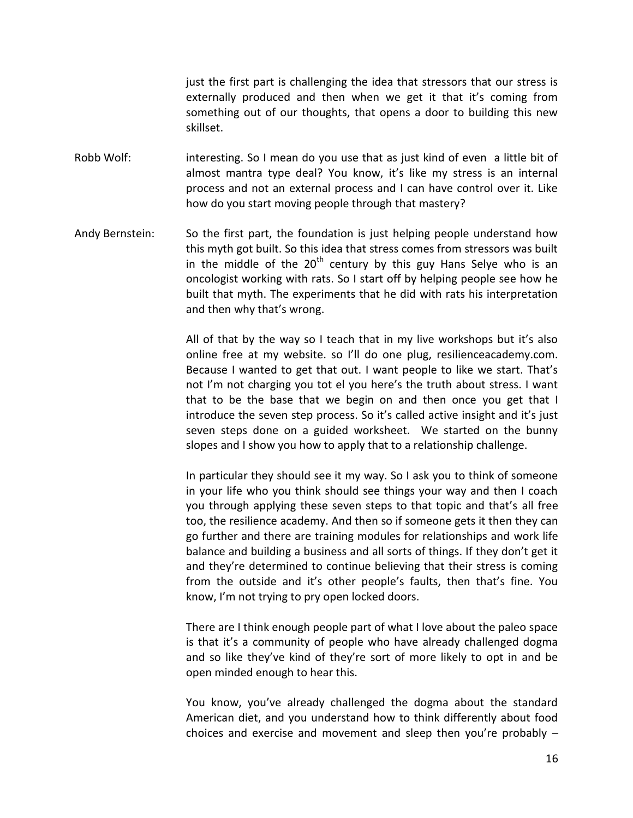just the first part is challenging the idea that stressors that our stress is externally produced and then when we get it that it's coming from something out of our thoughts, that opens a door to building this new skillset.

- Robb Wolf: interesting. So I mean do you use that as just kind of even a little bit of almost mantra type deal? You know, it's like my stress is an internal process and not an external process and I can have control over it. Like how do you start moving people through that mastery?
- Andy Bernstein: So the first part, the foundation is just helping people understand how this myth got built. So this idea that stress comes from stressors was built in the middle of the  $20<sup>th</sup>$  century by this guy Hans Selye who is an oncologist working with rats. So I start off by helping people see how he built that myth. The experiments that he did with rats his interpretation and then why that's wrong.

All of that by the way so I teach that in my live workshops but it's also online free at my website. so I'll do one plug, resilienceacademy.com. Because I wanted to get that out. I want people to like we start. That's not I'm not charging you tot el you here's the truth about stress. I want that to be the base that we begin on and then once you get that I introduce the seven step process. So it's called active insight and it's just seven steps done on a guided worksheet. We started on the bunny slopes and I show you how to apply that to a relationship challenge.

In particular they should see it my way. So I ask you to think of someone in your life who you think should see things your way and then I coach you through applying these seven steps to that topic and that's all free too, the resilience academy. And then so if someone gets it then they can go further and there are training modules for relationships and work life balance and building a business and all sorts of things. If they don't get it and they're determined to continue believing that their stress is coming from the outside and it's other people's faults, then that's fine. You know, I'm not trying to pry open locked doors.

There are I think enough people part of what I love about the paleo space is that it's a community of people who have already challenged dogma and so like they've kind of they're sort of more likely to opt in and be open minded enough to hear this.

You know, you've already challenged the dogma about the standard American diet, and you understand how to think differently about food choices and exercise and movement and sleep then you're probably –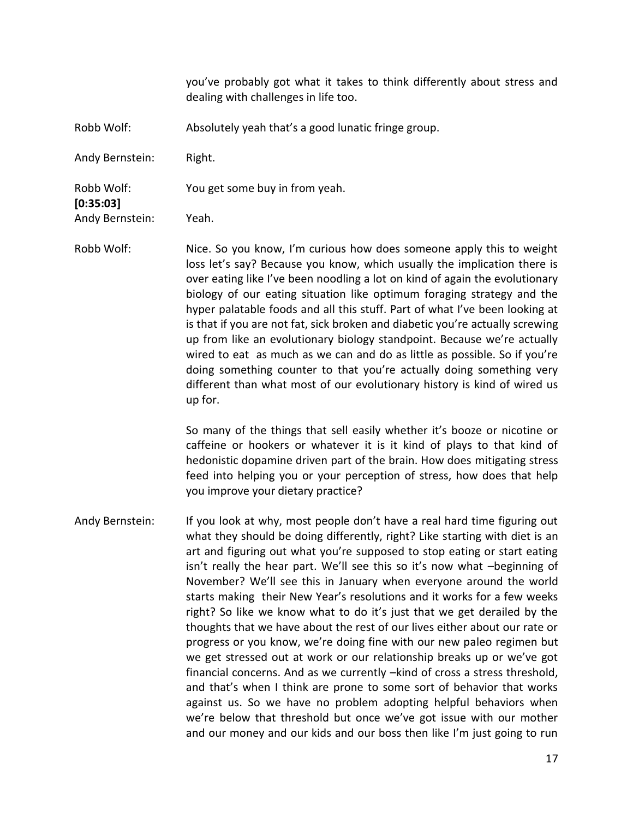you've probably got what it takes to think differently about stress and dealing with challenges in life too.

Robb Wolf: Absolutely yeah that's a good lunatic fringe group.

Andy Bernstein: Right.

Robb Wolf: You get some buy in from yeah.

Andy Bernstein: Yeah.

**[0:35:03]**

Robb Wolf: Nice. So you know, I'm curious how does someone apply this to weight loss let's say? Because you know, which usually the implication there is over eating like I've been noodling a lot on kind of again the evolutionary biology of our eating situation like optimum foraging strategy and the hyper palatable foods and all this stuff. Part of what I've been looking at is that if you are not fat, sick broken and diabetic you're actually screwing up from like an evolutionary biology standpoint. Because we're actually wired to eat as much as we can and do as little as possible. So if you're doing something counter to that you're actually doing something very different than what most of our evolutionary history is kind of wired us up for.

> So many of the things that sell easily whether it's booze or nicotine or caffeine or hookers or whatever it is it kind of plays to that kind of hedonistic dopamine driven part of the brain. How does mitigating stress feed into helping you or your perception of stress, how does that help you improve your dietary practice?

Andy Bernstein: If you look at why, most people don't have a real hard time figuring out what they should be doing differently, right? Like starting with diet is an art and figuring out what you're supposed to stop eating or start eating isn't really the hear part. We'll see this so it's now what –beginning of November? We'll see this in January when everyone around the world starts making their New Year's resolutions and it works for a few weeks right? So like we know what to do it's just that we get derailed by the thoughts that we have about the rest of our lives either about our rate or progress or you know, we're doing fine with our new paleo regimen but we get stressed out at work or our relationship breaks up or we've got financial concerns. And as we currently –kind of cross a stress threshold, and that's when I think are prone to some sort of behavior that works against us. So we have no problem adopting helpful behaviors when we're below that threshold but once we've got issue with our mother and our money and our kids and our boss then like I'm just going to run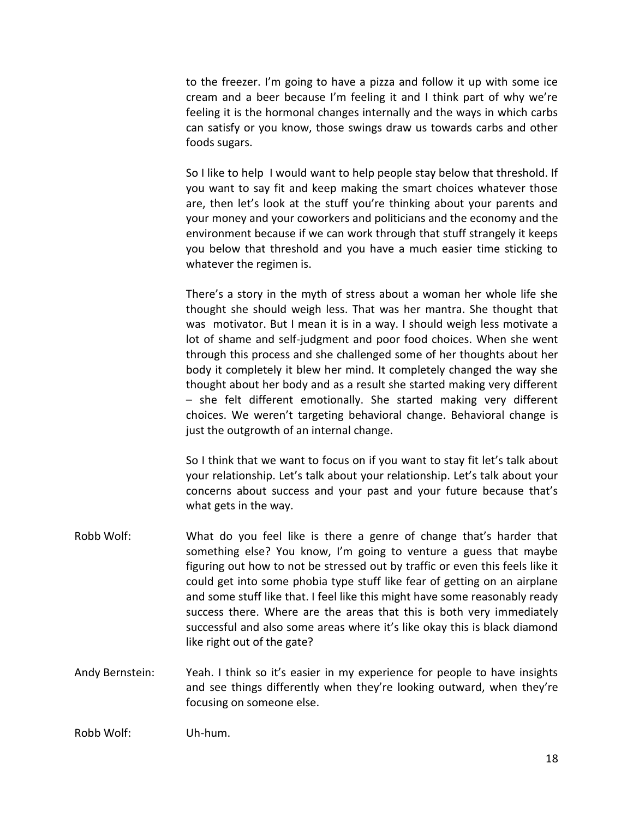to the freezer. I'm going to have a pizza and follow it up with some ice cream and a beer because I'm feeling it and I think part of why we're feeling it is the hormonal changes internally and the ways in which carbs can satisfy or you know, those swings draw us towards carbs and other foods sugars.

So I like to help I would want to help people stay below that threshold. If you want to say fit and keep making the smart choices whatever those are, then let's look at the stuff you're thinking about your parents and your money and your coworkers and politicians and the economy and the environment because if we can work through that stuff strangely it keeps you below that threshold and you have a much easier time sticking to whatever the regimen is.

There's a story in the myth of stress about a woman her whole life she thought she should weigh less. That was her mantra. She thought that was motivator. But I mean it is in a way. I should weigh less motivate a lot of shame and self-judgment and poor food choices. When she went through this process and she challenged some of her thoughts about her body it completely it blew her mind. It completely changed the way she thought about her body and as a result she started making very different – she felt different emotionally. She started making very different choices. We weren't targeting behavioral change. Behavioral change is just the outgrowth of an internal change.

So I think that we want to focus on if you want to stay fit let's talk about your relationship. Let's talk about your relationship. Let's talk about your concerns about success and your past and your future because that's what gets in the way.

- Robb Wolf: What do you feel like is there a genre of change that's harder that something else? You know, I'm going to venture a guess that maybe figuring out how to not be stressed out by traffic or even this feels like it could get into some phobia type stuff like fear of getting on an airplane and some stuff like that. I feel like this might have some reasonably ready success there. Where are the areas that this is both very immediately successful and also some areas where it's like okay this is black diamond like right out of the gate?
- Andy Bernstein: Yeah. I think so it's easier in my experience for people to have insights and see things differently when they're looking outward, when they're focusing on someone else.

Robb Wolf: Uh-hum.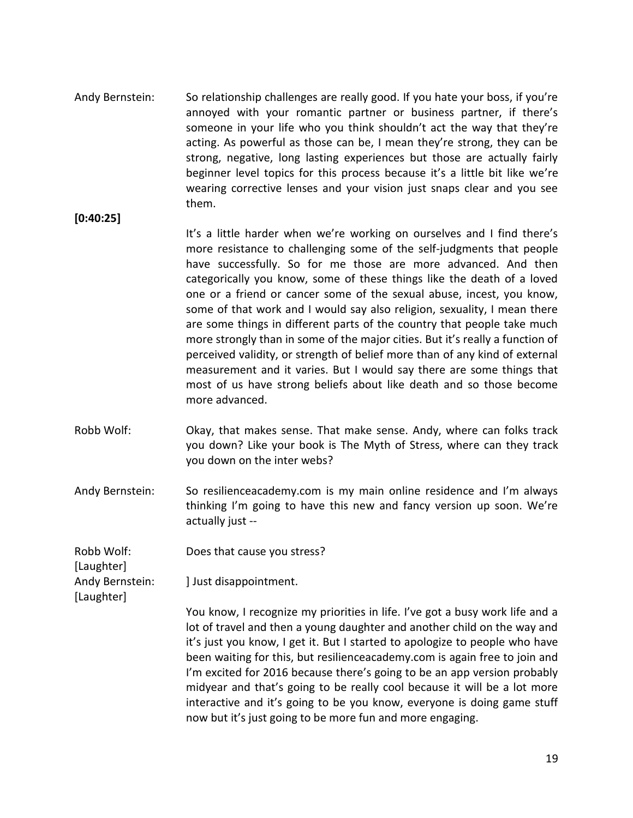- Andy Bernstein: So relationship challenges are really good. If you hate your boss, if you're annoyed with your romantic partner or business partner, if there's someone in your life who you think shouldn't act the way that they're acting. As powerful as those can be, I mean they're strong, they can be strong, negative, long lasting experiences but those are actually fairly beginner level topics for this process because it's a little bit like we're wearing corrective lenses and your vision just snaps clear and you see them.
- **[0:40:25]**

It's a little harder when we're working on ourselves and I find there's more resistance to challenging some of the self-judgments that people have successfully. So for me those are more advanced. And then categorically you know, some of these things like the death of a loved one or a friend or cancer some of the sexual abuse, incest, you know, some of that work and I would say also religion, sexuality, I mean there are some things in different parts of the country that people take much more strongly than in some of the major cities. But it's really a function of perceived validity, or strength of belief more than of any kind of external measurement and it varies. But I would say there are some things that most of us have strong beliefs about like death and so those become more advanced.

- Robb Wolf: Okay, that makes sense. That make sense. Andy, where can folks track you down? Like your book is The Myth of Stress, where can they track you down on the inter webs?
- Andy Bernstein: So resilienceacademy.com is my main online residence and I'm always thinking I'm going to have this new and fancy version up soon. We're actually just --

Robb Wolf: Does that cause you stress?

Andy Bernstein: **I** Just disappointment.

[Laughter]

[Laughter]

You know, I recognize my priorities in life. I've got a busy work life and a lot of travel and then a young daughter and another child on the way and it's just you know, I get it. But I started to apologize to people who have been waiting for this, but resilienceacademy.com is again free to join and I'm excited for 2016 because there's going to be an app version probably midyear and that's going to be really cool because it will be a lot more interactive and it's going to be you know, everyone is doing game stuff now but it's just going to be more fun and more engaging.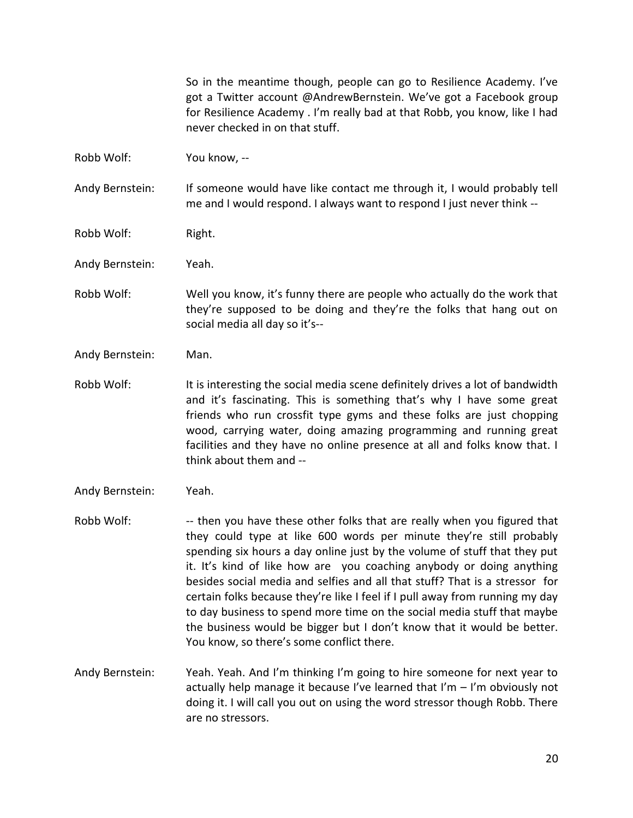So in the meantime though, people can go to Resilience Academy. I've got a Twitter account @AndrewBernstein. We've got a Facebook group for Resilience Academy . I'm really bad at that Robb, you know, like I had never checked in on that stuff.

Robb Wolf: You know, --

Andy Bernstein: If someone would have like contact me through it, I would probably tell me and I would respond. I always want to respond I just never think --

Robb Wolf: Right.

Andy Bernstein: Yeah.

- Robb Wolf: Well you know, it's funny there are people who actually do the work that they're supposed to be doing and they're the folks that hang out on social media all day so it's--
- Andy Bernstein: Man.
- Robb Wolf: It is interesting the social media scene definitely drives a lot of bandwidth and it's fascinating. This is something that's why I have some great friends who run crossfit type gyms and these folks are just chopping wood, carrying water, doing amazing programming and running great facilities and they have no online presence at all and folks know that. I think about them and --
- Andy Bernstein: Yeah.
- Robb Wolf: --- then you have these other folks that are really when you figured that they could type at like 600 words per minute they're still probably spending six hours a day online just by the volume of stuff that they put it. It's kind of like how are you coaching anybody or doing anything besides social media and selfies and all that stuff? That is a stressor for certain folks because they're like I feel if I pull away from running my day to day business to spend more time on the social media stuff that maybe the business would be bigger but I don't know that it would be better. You know, so there's some conflict there.
- Andy Bernstein: Yeah. Yeah. And I'm thinking I'm going to hire someone for next year to actually help manage it because I've learned that I'm  $-$  I'm obviously not doing it. I will call you out on using the word stressor though Robb. There are no stressors.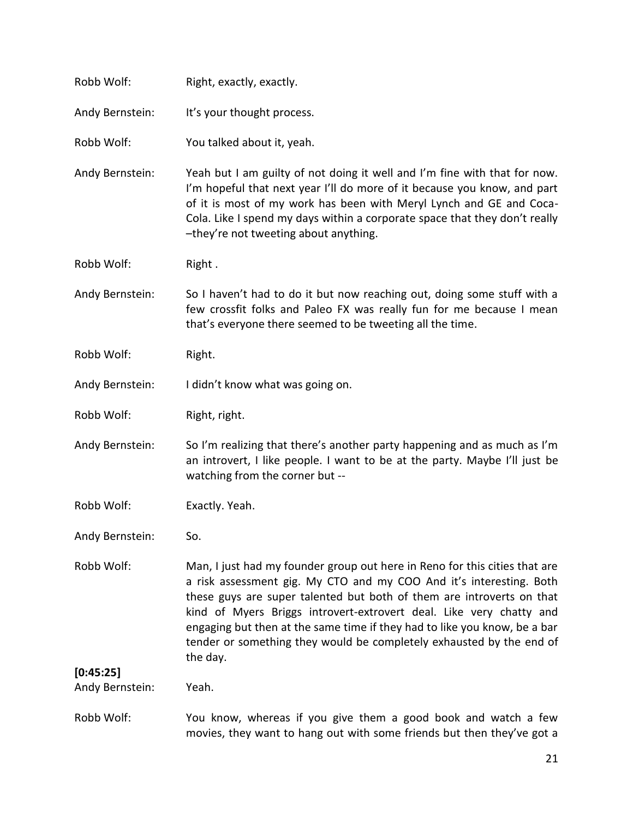| Robb Wolf:                   | Right, exactly, exactly.                                                                                                                                                                                                                                                                                                                                                                                                                                           |
|------------------------------|--------------------------------------------------------------------------------------------------------------------------------------------------------------------------------------------------------------------------------------------------------------------------------------------------------------------------------------------------------------------------------------------------------------------------------------------------------------------|
| Andy Bernstein:              | It's your thought process.                                                                                                                                                                                                                                                                                                                                                                                                                                         |
| Robb Wolf:                   | You talked about it, yeah.                                                                                                                                                                                                                                                                                                                                                                                                                                         |
| Andy Bernstein:              | Yeah but I am guilty of not doing it well and I'm fine with that for now.<br>I'm hopeful that next year I'll do more of it because you know, and part<br>of it is most of my work has been with Meryl Lynch and GE and Coca-<br>Cola. Like I spend my days within a corporate space that they don't really<br>-they're not tweeting about anything.                                                                                                                |
| Robb Wolf:                   | Right.                                                                                                                                                                                                                                                                                                                                                                                                                                                             |
| Andy Bernstein:              | So I haven't had to do it but now reaching out, doing some stuff with a<br>few crossfit folks and Paleo FX was really fun for me because I mean<br>that's everyone there seemed to be tweeting all the time.                                                                                                                                                                                                                                                       |
| Robb Wolf:                   | Right.                                                                                                                                                                                                                                                                                                                                                                                                                                                             |
| Andy Bernstein:              | I didn't know what was going on.                                                                                                                                                                                                                                                                                                                                                                                                                                   |
| Robb Wolf:                   | Right, right.                                                                                                                                                                                                                                                                                                                                                                                                                                                      |
| Andy Bernstein:              | So I'm realizing that there's another party happening and as much as I'm<br>an introvert, I like people. I want to be at the party. Maybe I'll just be<br>watching from the corner but --                                                                                                                                                                                                                                                                          |
| Robb Wolf:                   | Exactly. Yeah.                                                                                                                                                                                                                                                                                                                                                                                                                                                     |
| Andy Bernstein:              | So.                                                                                                                                                                                                                                                                                                                                                                                                                                                                |
| Robb Wolf:                   | Man, I just had my founder group out here in Reno for this cities that are<br>a risk assessment gig. My CTO and my COO And it's interesting. Both<br>these guys are super talented but both of them are introverts on that<br>kind of Myers Briggs introvert-extrovert deal. Like very chatty and<br>engaging but then at the same time if they had to like you know, be a bar<br>tender or something they would be completely exhausted by the end of<br>the day. |
| [0:45:25]<br>Andy Bernstein: | Yeah.                                                                                                                                                                                                                                                                                                                                                                                                                                                              |
| Robb Wolf:                   | You know, whereas if you give them a good book and watch a few                                                                                                                                                                                                                                                                                                                                                                                                     |
|                              | movies, they want to hang out with some friends but then they've got a                                                                                                                                                                                                                                                                                                                                                                                             |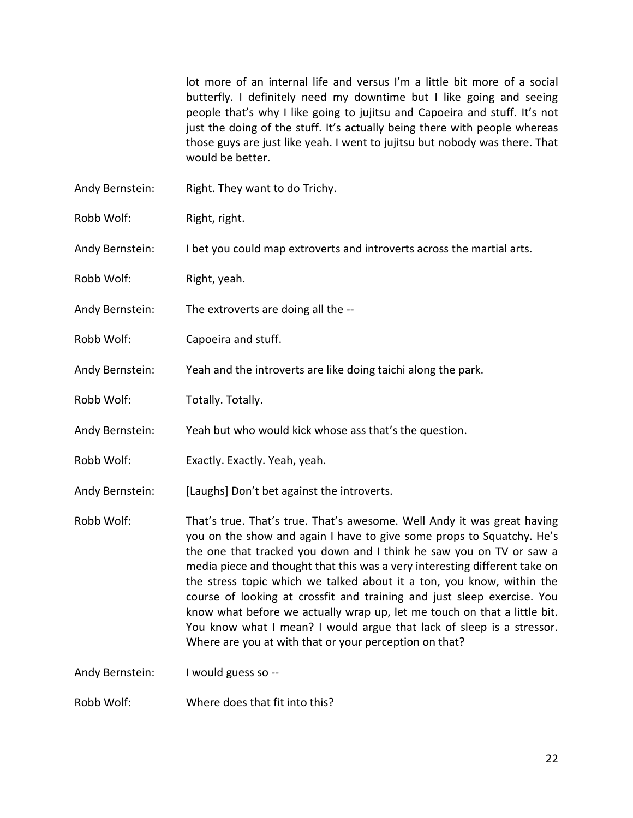lot more of an internal life and versus I'm a little bit more of a social butterfly. I definitely need my downtime but I like going and seeing people that's why I like going to jujitsu and Capoeira and stuff. It's not just the doing of the stuff. It's actually being there with people whereas those guys are just like yeah. I went to jujitsu but nobody was there. That would be better.

- Andy Bernstein: Right. They want to do Trichy.
- Robb Wolf: Right, right.

Andy Bernstein: I bet you could map extroverts and introverts across the martial arts.

- Robb Wolf: Right, yeah.
- Andy Bernstein: The extroverts are doing all the --
- Robb Wolf: Capoeira and stuff.
- Andy Bernstein: Yeah and the introverts are like doing taichi along the park.
- Robb Wolf: Totally. Totally.
- Andy Bernstein: Yeah but who would kick whose ass that's the question.
- Robb Wolf: Exactly. Exactly. Yeah, yeah.
- Andy Bernstein: [Laughs] Don't bet against the introverts.
- Robb Wolf: That's true. That's true. That's awesome. Well Andy it was great having you on the show and again I have to give some props to Squatchy. He's the one that tracked you down and I think he saw you on TV or saw a media piece and thought that this was a very interesting different take on the stress topic which we talked about it a ton, you know, within the course of looking at crossfit and training and just sleep exercise. You know what before we actually wrap up, let me touch on that a little bit. You know what I mean? I would argue that lack of sleep is a stressor. Where are you at with that or your perception on that?

Andy Bernstein: I would guess so --

Robb Wolf: Where does that fit into this?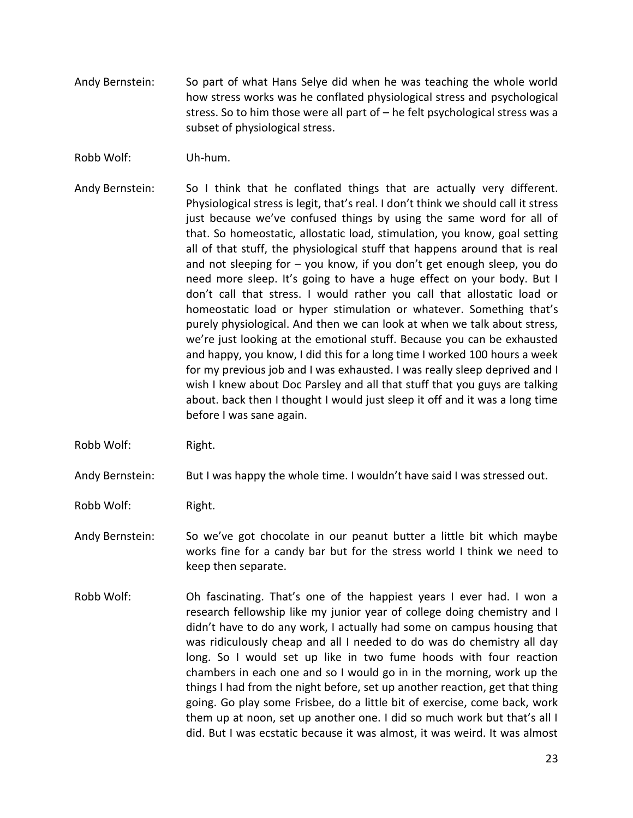- Andy Bernstein: So part of what Hans Selye did when he was teaching the whole world how stress works was he conflated physiological stress and psychological stress. So to him those were all part of – he felt psychological stress was a subset of physiological stress.
- Robb Wolf: Uh-hum.
- Andy Bernstein: So I think that he conflated things that are actually very different. Physiological stress is legit, that's real. I don't think we should call it stress just because we've confused things by using the same word for all of that. So homeostatic, allostatic load, stimulation, you know, goal setting all of that stuff, the physiological stuff that happens around that is real and not sleeping for – you know, if you don't get enough sleep, you do need more sleep. It's going to have a huge effect on your body. But I don't call that stress. I would rather you call that allostatic load or homeostatic load or hyper stimulation or whatever. Something that's purely physiological. And then we can look at when we talk about stress, we're just looking at the emotional stuff. Because you can be exhausted and happy, you know, I did this for a long time I worked 100 hours a week for my previous job and I was exhausted. I was really sleep deprived and I wish I knew about Doc Parsley and all that stuff that you guys are talking about. back then I thought I would just sleep it off and it was a long time before I was sane again.
- Robb Wolf: Right.

Andy Bernstein: But I was happy the whole time. I wouldn't have said I was stressed out.

- Robb Wolf: Right.
- Andy Bernstein: So we've got chocolate in our peanut butter a little bit which maybe works fine for a candy bar but for the stress world I think we need to keep then separate.
- Robb Wolf: Oh fascinating. That's one of the happiest years I ever had. I won a research fellowship like my junior year of college doing chemistry and I didn't have to do any work, I actually had some on campus housing that was ridiculously cheap and all I needed to do was do chemistry all day long. So I would set up like in two fume hoods with four reaction chambers in each one and so I would go in in the morning, work up the things I had from the night before, set up another reaction, get that thing going. Go play some Frisbee, do a little bit of exercise, come back, work them up at noon, set up another one. I did so much work but that's all I did. But I was ecstatic because it was almost, it was weird. It was almost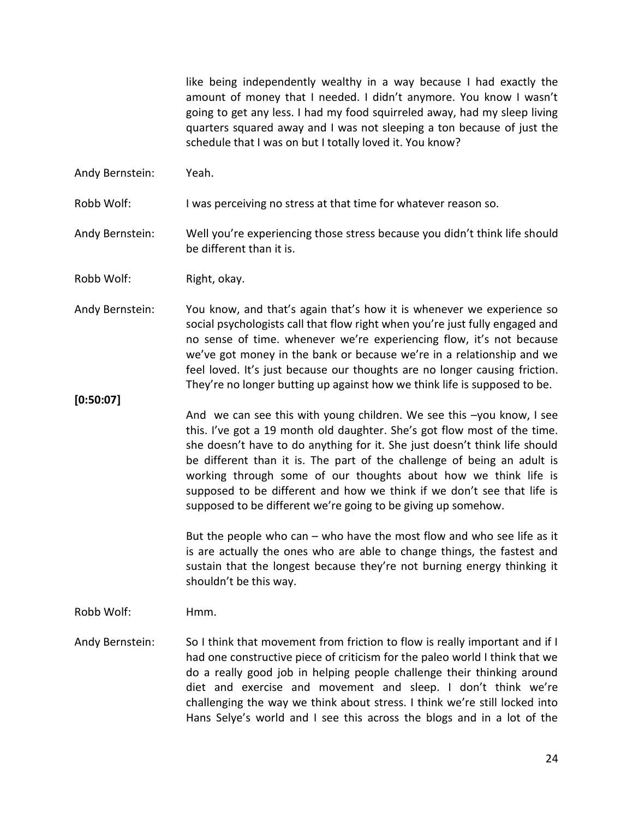like being independently wealthy in a way because I had exactly the amount of money that I needed. I didn't anymore. You know I wasn't going to get any less. I had my food squirreled away, had my sleep living quarters squared away and I was not sleeping a ton because of just the schedule that I was on but I totally loved it. You know?

Andy Bernstein: Yeah.

Robb Wolf: I was perceiving no stress at that time for whatever reason so.

Andy Bernstein: Well you're experiencing those stress because you didn't think life should be different than it is.

Robb Wolf: Right, okay.

Andy Bernstein: You know, and that's again that's how it is whenever we experience so social psychologists call that flow right when you're just fully engaged and no sense of time. whenever we're experiencing flow, it's not because we've got money in the bank or because we're in a relationship and we feel loved. It's just because our thoughts are no longer causing friction. They're no longer butting up against how we think life is supposed to be.

**[0:50:07]**

And we can see this with young children. We see this –you know, I see this. I've got a 19 month old daughter. She's got flow most of the time. she doesn't have to do anything for it. She just doesn't think life should be different than it is. The part of the challenge of being an adult is working through some of our thoughts about how we think life is supposed to be different and how we think if we don't see that life is supposed to be different we're going to be giving up somehow.

But the people who can – who have the most flow and who see life as it is are actually the ones who are able to change things, the fastest and sustain that the longest because they're not burning energy thinking it shouldn't be this way.

Robb Wolf: Hmm.

Andy Bernstein: So I think that movement from friction to flow is really important and if I had one constructive piece of criticism for the paleo world I think that we do a really good job in helping people challenge their thinking around diet and exercise and movement and sleep. I don't think we're challenging the way we think about stress. I think we're still locked into Hans Selye's world and I see this across the blogs and in a lot of the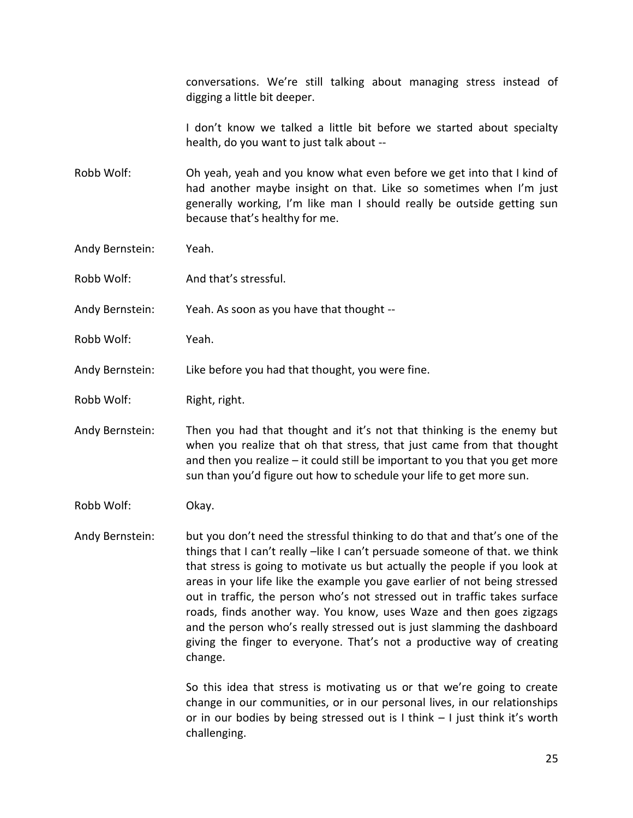conversations. We're still talking about managing stress instead of digging a little bit deeper.

I don't know we talked a little bit before we started about specialty health, do you want to just talk about --

Robb Wolf: Oh yeah, yeah and you know what even before we get into that I kind of had another maybe insight on that. Like so sometimes when I'm just generally working, I'm like man I should really be outside getting sun because that's healthy for me.

- Andy Bernstein: Yeah.
- Robb Wolf: And that's stressful.
- Andy Bernstein: Yeah. As soon as you have that thought --
- Robb Wolf: Yeah.
- Andy Bernstein: Like before you had that thought, you were fine.
- Robb Wolf: Right, right.
- Andy Bernstein: Then you had that thought and it's not that thinking is the enemy but when you realize that oh that stress, that just came from that thought and then you realize – it could still be important to you that you get more sun than you'd figure out how to schedule your life to get more sun.
- Robb Wolf: Okay.

Andy Bernstein: but you don't need the stressful thinking to do that and that's one of the things that I can't really –like I can't persuade someone of that. we think that stress is going to motivate us but actually the people if you look at areas in your life like the example you gave earlier of not being stressed out in traffic, the person who's not stressed out in traffic takes surface roads, finds another way. You know, uses Waze and then goes zigzags and the person who's really stressed out is just slamming the dashboard giving the finger to everyone. That's not a productive way of creating change.

> So this idea that stress is motivating us or that we're going to create change in our communities, or in our personal lives, in our relationships or in our bodies by being stressed out is I think – I just think it's worth challenging.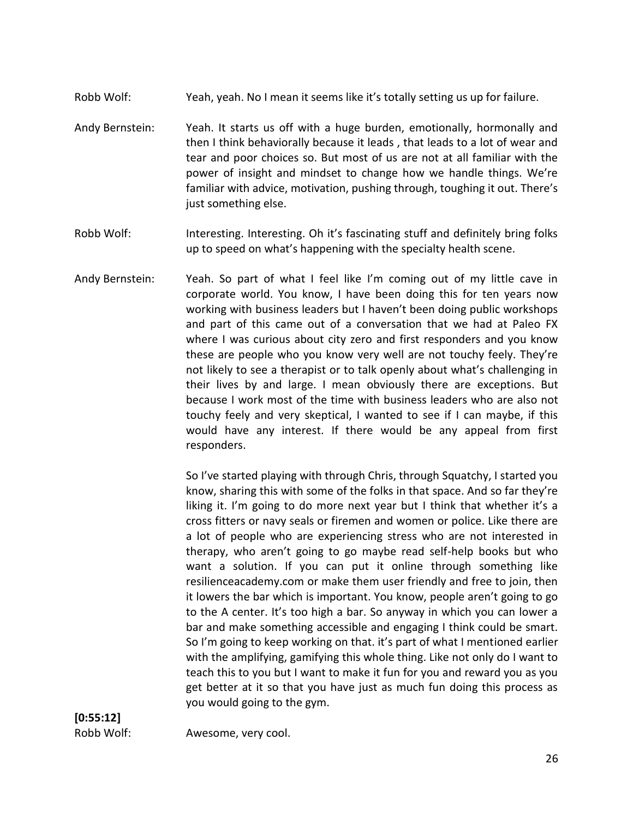- Robb Wolf: Yeah, yeah. No I mean it seems like it's totally setting us up for failure.
- Andy Bernstein: Yeah. It starts us off with a huge burden, emotionally, hormonally and then I think behaviorally because it leads , that leads to a lot of wear and tear and poor choices so. But most of us are not at all familiar with the power of insight and mindset to change how we handle things. We're familiar with advice, motivation, pushing through, toughing it out. There's just something else.
- Robb Wolf: Interesting. Interesting. Oh it's fascinating stuff and definitely bring folks up to speed on what's happening with the specialty health scene.
- Andy Bernstein: Yeah. So part of what I feel like I'm coming out of my little cave in corporate world. You know, I have been doing this for ten years now working with business leaders but I haven't been doing public workshops and part of this came out of a conversation that we had at Paleo FX where I was curious about city zero and first responders and you know these are people who you know very well are not touchy feely. They're not likely to see a therapist or to talk openly about what's challenging in their lives by and large. I mean obviously there are exceptions. But because I work most of the time with business leaders who are also not touchy feely and very skeptical, I wanted to see if I can maybe, if this would have any interest. If there would be any appeal from first responders.

So I've started playing with through Chris, through Squatchy, I started you know, sharing this with some of the folks in that space. And so far they're liking it. I'm going to do more next year but I think that whether it's a cross fitters or navy seals or firemen and women or police. Like there are a lot of people who are experiencing stress who are not interested in therapy, who aren't going to go maybe read self-help books but who want a solution. If you can put it online through something like resilienceacademy.com or make them user friendly and free to join, then it lowers the bar which is important. You know, people aren't going to go to the A center. It's too high a bar. So anyway in which you can lower a bar and make something accessible and engaging I think could be smart. So I'm going to keep working on that. it's part of what I mentioned earlier with the amplifying, gamifying this whole thing. Like not only do I want to teach this to you but I want to make it fun for you and reward you as you get better at it so that you have just as much fun doing this process as you would going to the gym.

Robb Wolf: Awesome, very cool.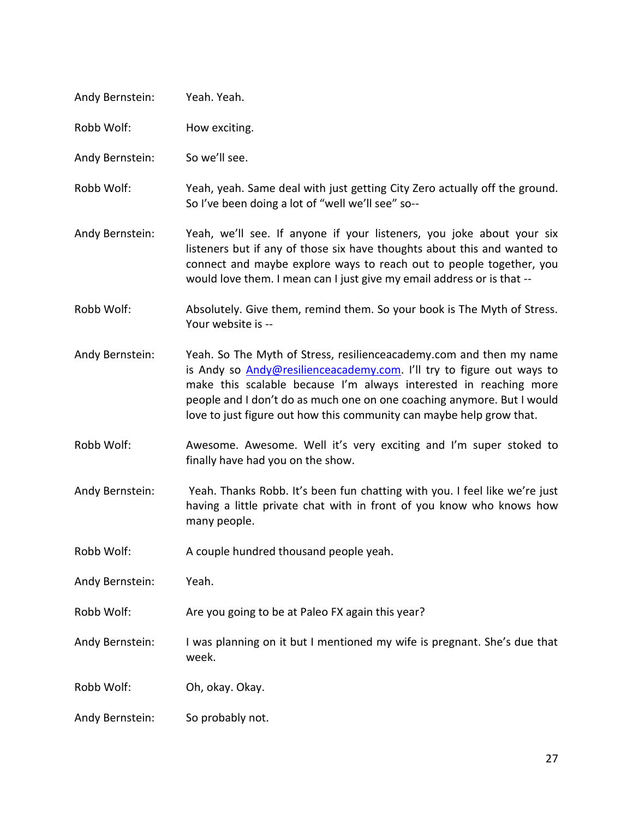| Andy Bernstein: | Yeah. Yeah.                                                                                                                                                                                                                                                                                                                                                         |
|-----------------|---------------------------------------------------------------------------------------------------------------------------------------------------------------------------------------------------------------------------------------------------------------------------------------------------------------------------------------------------------------------|
| Robb Wolf:      | How exciting.                                                                                                                                                                                                                                                                                                                                                       |
| Andy Bernstein: | So we'll see.                                                                                                                                                                                                                                                                                                                                                       |
| Robb Wolf:      | Yeah, yeah. Same deal with just getting City Zero actually off the ground.<br>So I've been doing a lot of "well we'll see" so--                                                                                                                                                                                                                                     |
| Andy Bernstein: | Yeah, we'll see. If anyone if your listeners, you joke about your six<br>listeners but if any of those six have thoughts about this and wanted to<br>connect and maybe explore ways to reach out to people together, you<br>would love them. I mean can I just give my email address or is that --                                                                  |
| Robb Wolf:      | Absolutely. Give them, remind them. So your book is The Myth of Stress.<br>Your website is --                                                                                                                                                                                                                                                                       |
| Andy Bernstein: | Yeah. So The Myth of Stress, resilienceacademy.com and then my name<br>is Andy so Andy@resilienceacademy.com. I'll try to figure out ways to<br>make this scalable because I'm always interested in reaching more<br>people and I don't do as much one on one coaching anymore. But I would<br>love to just figure out how this community can maybe help grow that. |
| Robb Wolf:      | Awesome. Awesome. Well it's very exciting and I'm super stoked to<br>finally have had you on the show.                                                                                                                                                                                                                                                              |
| Andy Bernstein: | Yeah. Thanks Robb. It's been fun chatting with you. I feel like we're just<br>having a little private chat with in front of you know who knows how<br>many people.                                                                                                                                                                                                  |
| Robb Wolf:      | A couple hundred thousand people yeah.                                                                                                                                                                                                                                                                                                                              |
| Andy Bernstein: | Yeah.                                                                                                                                                                                                                                                                                                                                                               |
| Robb Wolf:      | Are you going to be at Paleo FX again this year?                                                                                                                                                                                                                                                                                                                    |
| Andy Bernstein: | I was planning on it but I mentioned my wife is pregnant. She's due that<br>week.                                                                                                                                                                                                                                                                                   |
| Robb Wolf:      | Oh, okay. Okay.                                                                                                                                                                                                                                                                                                                                                     |
| Andy Bernstein: | So probably not.                                                                                                                                                                                                                                                                                                                                                    |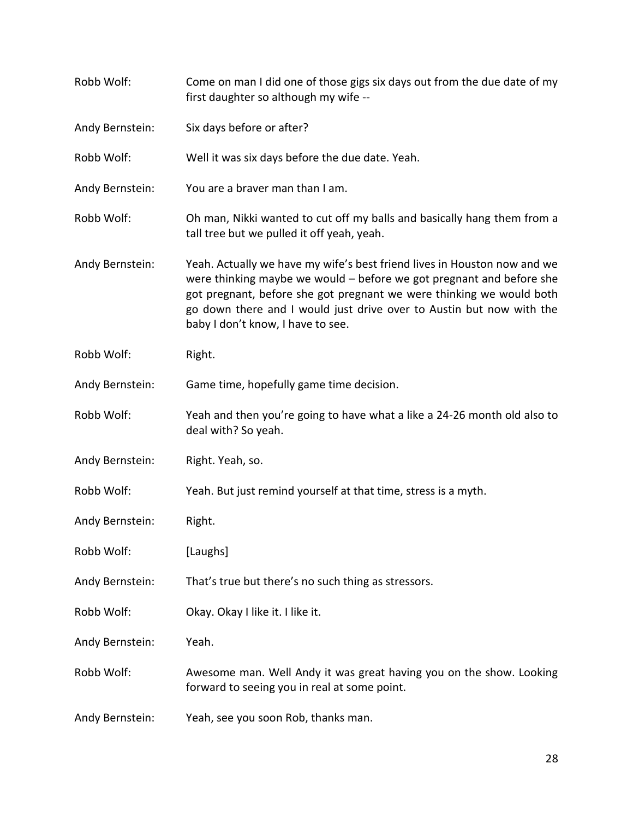| Robb Wolf:      | Come on man I did one of those gigs six days out from the due date of my<br>first daughter so although my wife --                                                                                                                                                                                                                       |
|-----------------|-----------------------------------------------------------------------------------------------------------------------------------------------------------------------------------------------------------------------------------------------------------------------------------------------------------------------------------------|
| Andy Bernstein: | Six days before or after?                                                                                                                                                                                                                                                                                                               |
| Robb Wolf:      | Well it was six days before the due date. Yeah.                                                                                                                                                                                                                                                                                         |
| Andy Bernstein: | You are a braver man than I am.                                                                                                                                                                                                                                                                                                         |
| Robb Wolf:      | Oh man, Nikki wanted to cut off my balls and basically hang them from a<br>tall tree but we pulled it off yeah, yeah.                                                                                                                                                                                                                   |
| Andy Bernstein: | Yeah. Actually we have my wife's best friend lives in Houston now and we<br>were thinking maybe we would $-$ before we got pregnant and before she<br>got pregnant, before she got pregnant we were thinking we would both<br>go down there and I would just drive over to Austin but now with the<br>baby I don't know, I have to see. |
| Robb Wolf:      | Right.                                                                                                                                                                                                                                                                                                                                  |
| Andy Bernstein: | Game time, hopefully game time decision.                                                                                                                                                                                                                                                                                                |
| Robb Wolf:      | Yeah and then you're going to have what a like a 24-26 month old also to<br>deal with? So yeah.                                                                                                                                                                                                                                         |
| Andy Bernstein: | Right. Yeah, so.                                                                                                                                                                                                                                                                                                                        |
| Robb Wolf:      | Yeah. But just remind yourself at that time, stress is a myth.                                                                                                                                                                                                                                                                          |
| Andy Bernstein: | Right.                                                                                                                                                                                                                                                                                                                                  |
| Robb Wolf:      | [Laughs]                                                                                                                                                                                                                                                                                                                                |
| Andy Bernstein: | That's true but there's no such thing as stressors.                                                                                                                                                                                                                                                                                     |
| Robb Wolf:      | Okay. Okay I like it. I like it.                                                                                                                                                                                                                                                                                                        |
| Andy Bernstein: | Yeah.                                                                                                                                                                                                                                                                                                                                   |
| Robb Wolf:      | Awesome man. Well Andy it was great having you on the show. Looking<br>forward to seeing you in real at some point.                                                                                                                                                                                                                     |
| Andy Bernstein: | Yeah, see you soon Rob, thanks man.                                                                                                                                                                                                                                                                                                     |